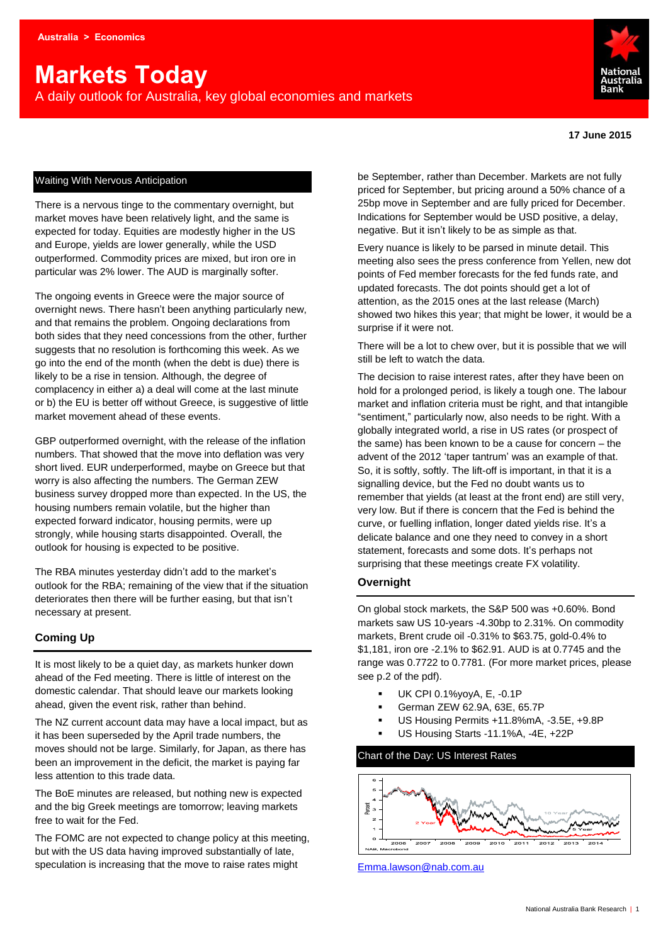# **Markets Today**

A daily outlook for Australia, key global economies and markets



#### **17 June 2015**

#### Waiting With Nervous Anticipation

There is a nervous tinge to the commentary overnight, but market moves have been relatively light, and the same is expected for today. Equities are modestly higher in the US and Europe, yields are lower generally, while the USD outperformed. Commodity prices are mixed, but iron ore in particular was 2% lower. The AUD is marginally softer.

The ongoing events in Greece were the major source of overnight news. There hasn't been anything particularly new, and that remains the problem. Ongoing declarations from both sides that they need concessions from the other, further suggests that no resolution is forthcoming this week. As we go into the end of the month (when the debt is due) there is likely to be a rise in tension. Although, the degree of complacency in either a) a deal will come at the last minute or b) the EU is better off without Greece, is suggestive of little market movement ahead of these events.

GBP outperformed overnight, with the release of the inflation numbers. That showed that the move into deflation was very short lived. EUR underperformed, maybe on Greece but that worry is also affecting the numbers. The German ZEW business survey dropped more than expected. In the US, the housing numbers remain volatile, but the higher than expected forward indicator, housing permits, were up strongly, while housing starts disappointed. Overall, the outlook for housing is expected to be positive.

The RBA minutes yesterday didn't add to the market's outlook for the RBA; remaining of the view that if the situation deteriorates then there will be further easing, but that isn't necessary at present.

#### **Coming Up**

It is most likely to be a quiet day, as markets hunker down ahead of the Fed meeting. There is little of interest on the domestic calendar. That should leave our markets looking ahead, given the event risk, rather than behind.

The NZ current account data may have a local impact, but as it has been superseded by the April trade numbers, the moves should not be large. Similarly, for Japan, as there has been an improvement in the deficit, the market is paying far less attention to this trade data.

The BoE minutes are released, but nothing new is expected and the big Greek meetings are tomorrow; leaving markets free to wait for the Fed.

The FOMC are not expected to change policy at this meeting, but with the US data having improved substantially of late, speculation is increasing that the move to raise rates might

be September, rather than December. Markets are not fully priced for September, but pricing around a 50% chance of a 25bp move in September and are fully priced for December. Indications for September would be USD positive, a delay, negative. But it isn't likely to be as simple as that.

Every nuance is likely to be parsed in minute detail. This meeting also sees the press conference from Yellen, new dot points of Fed member forecasts for the fed funds rate, and updated forecasts. The dot points should get a lot of attention, as the 2015 ones at the last release (March) showed two hikes this year; that might be lower, it would be a surprise if it were not.

There will be a lot to chew over, but it is possible that we will still be left to watch the data.

The decision to raise interest rates, after they have been on hold for a prolonged period, is likely a tough one. The labour market and inflation criteria must be right, and that intangible "sentiment," particularly now, also needs to be right. With a globally integrated world, a rise in US rates (or prospect of the same) has been known to be a cause for concern – the advent of the 2012 'taper tantrum' was an example of that. So, it is softly, softly. The lift-off is important, in that it is a signalling device, but the Fed no doubt wants us to remember that yields (at least at the front end) are still very, very low. But if there is concern that the Fed is behind the curve, or fuelling inflation, longer dated yields rise. It's a delicate balance and one they need to convey in a short statement, forecasts and some dots. It's perhaps not surprising that these meetings create FX volatility.

#### **Overnight**

On global stock markets, the S&P 500 was +0.60%. Bond markets saw US 10-years -4.30bp to 2.31%. On commodity markets, Brent crude oil -0.31% to \$63.75, gold-0.4% to \$1,181, iron ore -2.1% to \$62.91. AUD is at 0.7745 and the range was 0.7722 to 0.7781. (For more market prices, please see p.2 of the pdf).

- UK CPI 0.1%yoyA, E, -0.1P
- German ZEW 62.9A, 63E, 65.7P
- US Housing Permits +11.8%mA, -3.5E, +9.8P
- US Housing Starts -11.1%A, -4E, +22P

#### Chart of the Day: US Interest Rates



[Emma.lawson@nab.com.au](mailto:Emma.lawson@nab.com.au)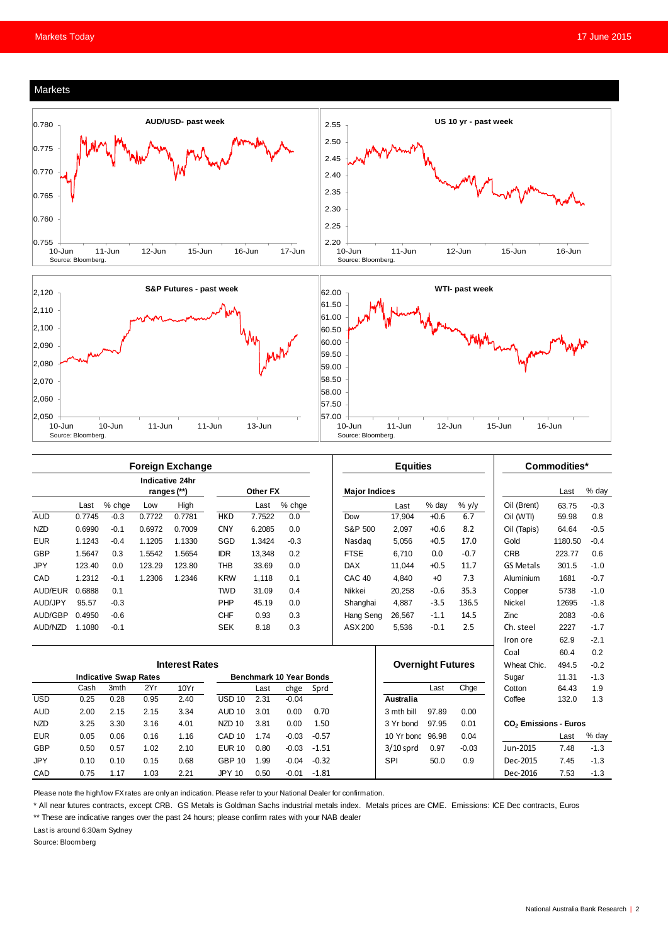

10-Jun 11-Jun 12-Jun 15-Jun 16-Jun

|            | <b>Foreign Exchange</b>      |        |                                |                                |                   |          |         |         | <b>Equities</b>      |                                                                 |                          |         | Commodities*     |         |        |
|------------|------------------------------|--------|--------------------------------|--------------------------------|-------------------|----------|---------|---------|----------------------|-----------------------------------------------------------------|--------------------------|---------|------------------|---------|--------|
|            |                              |        | Indicative 24hr<br>ranges (**) |                                |                   | Other FX |         |         | <b>Major Indices</b> |                                                                 |                          |         |                  | Last    | % day  |
|            | Last                         | % chge | Low                            | High                           |                   | Last     | % chge  |         |                      | Last                                                            | % day                    | $%$ y/y | Oil (Brent)      | 63.75   | $-0.3$ |
| <b>AUD</b> | 0.7745                       | $-0.3$ | 0.7722                         | 0.7781                         | <b>HKD</b>        | 7.7522   | 0.0     |         | Dow                  | 17.904                                                          | $+0.6$                   | 6.7     | Oil (WTI)        | 59.98   | 0.8    |
| <b>NZD</b> | 0.6990                       | $-0.1$ | 0.6972                         | 0.7009                         | <b>CNY</b>        | 6.2085   | 0.0     |         | S&P 500              | 2.097                                                           | $+0.6$                   | 8.2     | Oil (Tapis)      | 64.64   | $-0.5$ |
| <b>EUR</b> | 1.1243                       | $-0.4$ | 1.1205                         | 1.1330                         | SGD               | 1.3424   | $-0.3$  |         | Nasdag               | 5.056                                                           | $+0.5$                   | 17.0    | Gold             | 1180.50 | $-0.4$ |
| <b>GBP</b> | 1.5647                       | 0.3    | 1.5542                         | 1.5654                         | <b>IDR</b>        | 13,348   | 0.2     |         | <b>FTSE</b>          | 6.710                                                           | 0.0                      | $-0.7$  | CRB              | 223.77  | 0.6    |
| <b>JPY</b> | 123.40                       | 0.0    | 123.29                         | 123.80                         | <b>THB</b>        | 33.69    | 0.0     |         | <b>DAX</b>           | 11,044                                                          | $+0.5$                   | 11.7    | <b>GS Metals</b> | 301.5   | $-1.0$ |
| CAD        | 1.2312                       | $-0.1$ | 1.2306                         | 1.2346                         | <b>KRW</b>        | 1,118    | 0.1     |         | CAC <sub>40</sub>    | 4.840                                                           | $+0$                     | 7.3     | Aluminium        | 1681    | $-0.7$ |
| AUD/EUR    | 0.6888                       | 0.1    |                                |                                | <b>TWD</b>        | 31.09    | 0.4     |         | Nikkei               | 20,258                                                          | $-0.6$                   | 35.3    | Copper           | 5738    | $-1.0$ |
| AUD/JPY    | 95.57                        | $-0.3$ |                                |                                | PHP               | 45.19    | 0.0     |         | Shanghai             | 4.887                                                           | $-3.5$                   | 136.5   | <b>Nickel</b>    | 12695   | $-1.8$ |
| AUD/GBP    | 0.4950                       | $-0.6$ |                                |                                | <b>CHF</b>        | 0.93     | 0.3     |         | Hang Seng            | 26.567                                                          | $-1.1$                   | 14.5    | Zinc             | 2083    | $-0.6$ |
| AUD/NZD    | 1.1080                       | $-0.1$ |                                |                                | <b>SEK</b>        | 8.18     | 0.3     |         | ASX 200              | 5,536                                                           | $-0.1$                   | 2.5     | Ch. steel        | 2227    | $-1.7$ |
|            |                              |        |                                |                                |                   |          |         |         |                      |                                                                 |                          |         | Iron ore         | 62.9    | $-2.1$ |
|            |                              |        |                                |                                |                   |          |         |         |                      |                                                                 |                          |         | Coal             | 60.4    | 0.2    |
|            | <b>Interest Rates</b>        |        |                                |                                |                   |          |         |         |                      |                                                                 | <b>Overnight Futures</b> |         | Wheat Chic.      | 494.5   | $-0.2$ |
|            | <b>Indicative Swap Rates</b> |        |                                | <b>Benchmark 10 Year Bonds</b> |                   |          |         |         |                      |                                                                 | Sugar                    | 11.31   | $-1.3$           |         |        |
|            | Cash                         | 3mth   | 2Yr                            | 10Yr                           |                   | Last     | chge    | Sprd    |                      |                                                                 | Last                     | Chge    | Cotton           | 64.43   | 1.9    |
| <b>USD</b> | 0.25                         | 0.28   | 0.95                           | 2.40                           | $USD$ 10          | 2.31     | $-0.04$ |         |                      | Australia                                                       |                          |         | Coffee           | 132.0   | 1.3    |
| <b>AUD</b> | 2.00                         | 2.15   | 2.15                           | 3.34                           | <b>AUD 10</b>     | 3.01     | 0.00    | 0.70    |                      | 3 mth bill                                                      | 97.89                    | 0.00    |                  |         |        |
| <b>NZD</b> | 3.25                         | 3.30   | 3.16                           | 4.01                           | NZD <sub>10</sub> | 3.81     | 0.00    | 1.50    |                      | 97.95<br>0.01<br>CO <sub>2</sub> Emissions - Euros<br>3 Yr bond |                          |         |                  |         |        |
| <b>EUR</b> | 0.05                         | 0.06   | 0.16                           | 1.16                           | CAD <sub>10</sub> | 1.74     | $-0.03$ | $-0.57$ |                      | 10 Yr bond                                                      | 96.98                    | 0.04    |                  | Last    | % day  |
| <b>GBP</b> | 0.50                         | 0.57   | 1.02                           | 2.10                           | <b>EUR 10</b>     | 0.80     | $-0.03$ | $-1.51$ |                      | $3/10$ sprd                                                     | 0.97                     | $-0.03$ | Jun-2015         | 7.48    | $-1.3$ |
| <b>JPY</b> | 0.10                         | 0.10   | 0.15                           | 0.68                           | <b>GBP 10</b>     | 1.99     | $-0.04$ | $-0.32$ |                      | SPI                                                             | 50.0                     | 0.9     | Dec-2015         | 7.45    | $-1.3$ |
| CAD        | 0.75                         | 1.17   | 1.03                           | 2.21                           | <b>JPY 10</b>     | 0.50     | $-0.01$ | $-1.81$ |                      |                                                                 |                          |         | Dec-2016         | 7.53    | $-1.3$ |

Source: Bloomberg.

Please note the high/low FX rates are only an indication. Please refer to your National Dealer for confirmation.

\* All near futures contracts, except CRB. GS Metals is Goldman Sachs industrial metals index. Metals prices are CME. Emissions: ICE Dec contracts, Euros

\*\* These are indicative ranges over the past 24 hours; please confirm rates with your NAB dealer

10-Jun 10-Jun 11-Jun 11-Jun 13-Jun

Last is around 6:30am Sydney

Source: Bloomberg.

Source: Bloomberg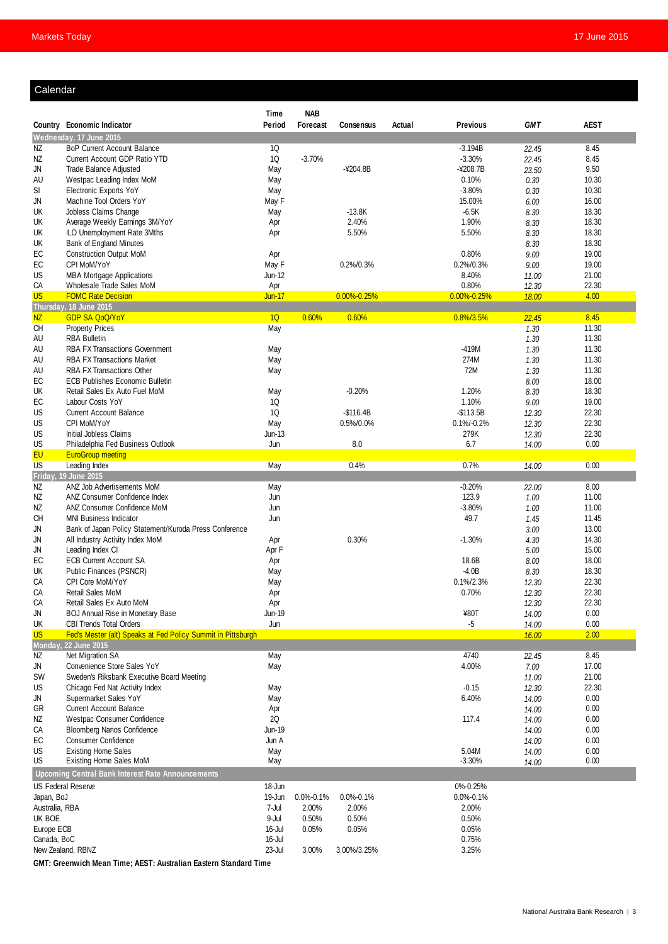#### Calendar

|                 |                                                                           | <b>Time</b>   | <b>NAB</b>      |                         |        |                             |                |                |  |
|-----------------|---------------------------------------------------------------------------|---------------|-----------------|-------------------------|--------|-----------------------------|----------------|----------------|--|
|                 | Country Economic Indicator                                                | Period        | Forecast        | Consensus               | Actual | <b>Previous</b>             | <b>GMT</b>     | <b>AEST</b>    |  |
|                 | Wednesday, 17 June 2015                                                   |               |                 |                         |        |                             |                |                |  |
| NZ              | <b>BoP Current Account Balance</b>                                        | 1Q            |                 |                         |        | $-3.194B$                   | 22.45          | 8.45           |  |
| NZ              | Current Account GDP Ratio YTD                                             | 1Q            | $-3.70%$        |                         |        | $-3.30%$                    | 22.45          | 8.45           |  |
| JN              | <b>Trade Balance Adjusted</b>                                             | May           |                 | $-4204.8B$              |        | $-4208.7B$                  | 23.50          | 9.50           |  |
| AU              | Westpac Leading Index MoM<br><b>Electronic Exports YoY</b>                | May           |                 |                         |        | 0.10%<br>$-3.80%$           | 0.30           | 10.30<br>10.30 |  |
| SI<br>JN        | Machine Tool Orders YoY                                                   | May<br>May F  |                 |                         |        | 15.00%                      | 0.30<br>6.00   | 16.00          |  |
| UK              | Jobless Claims Change                                                     | May           |                 | $-13.8K$                |        | $-6.5K$                     | 8.30           | 18.30          |  |
| UK              | Average Weekly Earnings 3M/YoY                                            | Apr           |                 | 2.40%                   |        | 1.90%                       | 8.30           | 18.30          |  |
| UK              | ILO Unemployment Rate 3Mths                                               | Apr           |                 | 5.50%                   |        | 5.50%                       | 8.30           | 18.30          |  |
| UK              | Bank of England Minutes                                                   |               |                 |                         |        |                             | 8.30           | 18.30          |  |
| EC              | <b>Construction Output MoM</b>                                            |               |                 |                         |        | 0.80%                       | 9.00           | 19.00          |  |
| EC              | CPI MoM/YoY                                                               |               |                 | 0.2%/0.3%               |        | 0.2%/0.3%                   | 9.00           | 19.00          |  |
| US              | <b>MBA Mortgage Applications</b>                                          |               |                 |                         |        | 8.40%                       | 11.00          | 21.00          |  |
| CA              | Wholesale Trade Sales MoM                                                 |               |                 |                         |        | 0.80%                       | 12.30          | 22.30          |  |
| <b>US</b>       | <b>FOMC Rate Decision</b>                                                 | <b>Jun-17</b> |                 | $0.00\% - 0.25\%$       |        | $0.00\% - 0.25\%$           | 18.00          | 4.00           |  |
|                 | Thursday, 18 June 2015                                                    |               |                 |                         |        |                             |                |                |  |
| <b>NZ</b>       | <b>GDP SA QoQ/YoY</b>                                                     | 1Q            | 0.60%           | 0.60%                   |        | 0.8%/3.5%                   | 22.45          | 8.45           |  |
| <b>CH</b>       | <b>Property Prices</b>                                                    | May           |                 |                         |        |                             | 1.30           | 11.30          |  |
| AU              | <b>RBA Bulletin</b>                                                       |               |                 |                         |        |                             | 1.30           | 11.30          |  |
| AU              | <b>RBA FX Transactions Government</b>                                     | May           |                 |                         |        | -419M                       | 1.30           | 11.30          |  |
| AU              | <b>RBA FX Transactions Market</b>                                         | May           |                 |                         |        | 274M                        | 1.30           | 11.30          |  |
| AU              | <b>RBA FX Transactions Other</b>                                          | May           |                 |                         |        | 72M                         | 1.30           | 11.30          |  |
| EC              | <b>ECB Publishes Economic Bulletin</b>                                    |               |                 |                         |        |                             | 8.00           | 18.00          |  |
| UK              | Retail Sales Ex Auto Fuel MoM                                             | May           |                 | $-0.20%$                |        | 1.20%                       | 8.30           | 18.30          |  |
| EC              | Labour Costs YoY<br><b>Current Account Balance</b>                        | 1Q            |                 |                         |        | 1.10%                       | 9.00           | 19.00          |  |
| US<br>US        | CPI MoM/YoY                                                               | 1Q            |                 | $-$116.4B$<br>0.5%/0.0% |        | $-$113.5B$<br>$0.1\%/0.2\%$ | 12.30          | 22.30<br>22.30 |  |
| US              | Initial Jobless Claims                                                    | May<br>Jun-13 |                 |                         |        | 279K                        | 12.30<br>12.30 | 22.30          |  |
| US              | Philadelphia Fed Business Outlook                                         | Jun           |                 | 8.0                     |        | 6.7                         | 14.00          | 0.00           |  |
| EU              | <b>EuroGroup meeting</b>                                                  |               |                 |                         |        |                             |                |                |  |
| US              | Leading Index                                                             | May           |                 | 0.4%                    |        | 0.7%                        | 14.00          | 0.00           |  |
| Friday,         | 19 June 2015                                                              |               |                 |                         |        |                             |                |                |  |
| NZ              | ANZ Job Advertisements MoM                                                | May           |                 |                         |        | $-0.20%$                    | 22.00          | 8.00           |  |
| NZ              | ANZ Consumer Confidence Index                                             | Jun           |                 |                         |        | 123.9                       | 1.00           | 11.00          |  |
| NZ              | ANZ Consumer Confidence MoM                                               | Jun           |                 |                         |        | $-3.80%$                    | 1.00           | 11.00          |  |
| <b>CH</b>       | <b>MNI Business Indicator</b>                                             | Jun           |                 |                         |        | 49.7                        | 1.45           | 11.45          |  |
| JN              | Bank of Japan Policy Statement/Kuroda Press Conference                    |               |                 |                         |        |                             | 3.00           | 13.00          |  |
| JN              | All Industry Activity Index MoM                                           | Apr           |                 | 0.30%                   |        | $-1.30%$                    | 4.30           | 14.30          |  |
| JN              | Leading Index CI                                                          | Apr F         |                 |                         |        |                             | 5.00           | 15.00          |  |
| EC              | <b>ECB Current Account SA</b>                                             | Apr           |                 |                         |        | 18.6B                       | 8.00           | 18.00          |  |
| UK              | Public Finances (PSNCR)                                                   | May           |                 |                         |        | $-4.0B$                     | 8.30           | 18.30          |  |
| CA              | CPI Core MoM/YoY                                                          | May           |                 |                         |        | 0.1%/2.3%                   | 12.30          | 22.30          |  |
| CA              | <b>Retail Sales MoM</b>                                                   | Apr           |                 |                         |        | 0.70%                       | 12.30          | 22.30          |  |
| CA<br><b>JN</b> | Retail Sales Ex Auto MoM                                                  | Apr           |                 |                         |        |                             | 12.30          | 22.30          |  |
| UK              | <b>BOJ Annual Rise in Monetary Base</b><br><b>CBI Trends Total Orders</b> | Jun-19<br>Jun |                 |                         |        | ¥80T<br>$-5$                | 14.00<br>14.00 | 0.00<br>0.00   |  |
| <b>US</b>       | Fed's Mester (alt) Speaks at Fed Policy Summit in Pittsburgh              |               |                 |                         |        |                             | 16.00          | 2.00           |  |
|                 | Monday, 22 June 2015                                                      |               |                 |                         |        |                             |                |                |  |
| ΝZ              | Net Migration SA                                                          | May           |                 |                         |        | 4740                        | 22.45          | 8.45           |  |
| JN              | Convenience Store Sales YoY                                               | May           |                 |                         |        | 4.00%                       | 7.00           | 17.00          |  |
| SW              | Sweden's Riksbank Executive Board Meeting                                 |               |                 |                         |        |                             | 11.00          | 21.00          |  |
| US              | Chicago Fed Nat Activity Index                                            | May           |                 |                         |        | $-0.15$                     | 12.30          | 22.30          |  |
| JN              | Supermarket Sales YoY                                                     | May           |                 |                         |        | 6.40%                       | 14.00          | 0.00           |  |
| GR              | <b>Current Account Balance</b>                                            | Apr           |                 |                         |        |                             | 14.00          | 0.00           |  |
| NZ              | Westpac Consumer Confidence                                               | 2Q            |                 |                         |        | 117.4                       | 14.00          | 0.00           |  |
| СA              | <b>Bloomberg Nanos Confidence</b>                                         | Jun-19        |                 |                         |        |                             | 14.00          | 0.00           |  |
| EC              | <b>Consumer Confidence</b>                                                | Jun A         |                 |                         |        |                             | 14.00          | 0.00           |  |
| US              | <b>Existing Home Sales</b>                                                | May           |                 |                         |        | 5.04M                       | 14.00          | 0.00           |  |
| US              | <b>Existing Home Sales MoM</b>                                            | May           |                 |                         |        | $-3.30%$                    | 14.00          | 0.00           |  |
|                 | Upcoming Central Bank Interest Rate Announcements                         |               |                 |                         |        |                             |                |                |  |
|                 | <b>US Federal Reserve</b>                                                 | 18-Jun        |                 |                         |        | 0%-0.25%                    |                |                |  |
| Japan, BoJ      |                                                                           | 19-Jun        | $0.0\% - 0.1\%$ | $0.0\% - 0.1\%$         |        | $0.0\% - 0.1\%$             |                |                |  |
| Australia, RBA  |                                                                           |               | 2.00%           | 2.00%                   |        | 2.00%                       |                |                |  |
| UK BOE          |                                                                           |               | 0.50%           | 0.50%                   |        | 0.50%                       |                |                |  |
| Europe ECB      |                                                                           | 16-Jul        | 0.05%           | 0.05%                   |        | 0.05%                       |                |                |  |
| Canada, BoC     |                                                                           | 16-Jul        |                 |                         |        | 0.75%                       |                |                |  |
|                 | New Zealand, RBNZ                                                         | 23-Jul        | 3.00%           | 3.00%/3.25%             |        | 3.25%                       |                |                |  |
|                 | CMT: Croopwich Moon Timo: AEST: Australian Fastern Standard Timo          |               |                 |                         |        |                             |                |                |  |

**GMT: Greenwich Mean Time; AEST: Australian Eastern Standard Time**